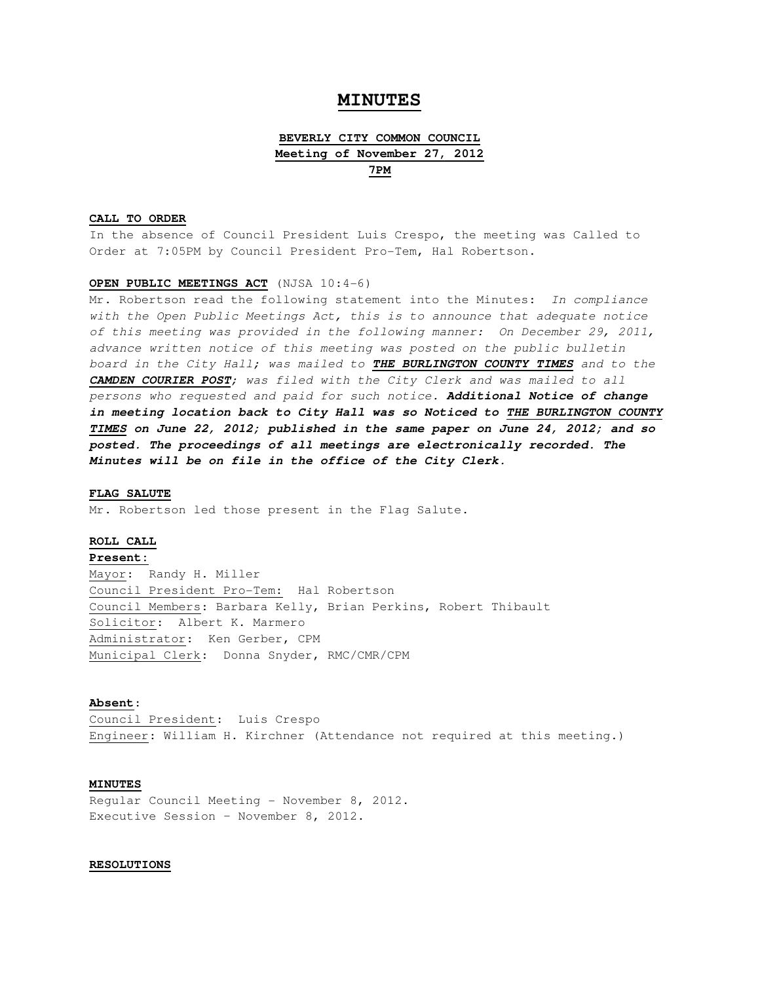# **MINUTES**

# **BEVERLY CITY COMMON COUNCIL Meeting of November 27, 2012 7PM**

## **CALL TO ORDER**

In the absence of Council President Luis Crespo, the meeting was Called to Order at 7:05PM by Council President Pro-Tem, Hal Robertson.

## **OPEN PUBLIC MEETINGS ACT** (NJSA 10:4-6)

Mr. Robertson read the following statement into the Minutes: In compliance with the Open Public Meetings Act, this is to announce that adequate notice of this meeting was provided in the following manner: On December 29, 2011, advance written notice of this meeting was posted on the public bulletin board in the City Hall; was mailed to **THE BURLINGTON COUNTY TIMES** and to the **CAMDEN COURIER POST**; was filed with the City Clerk and was mailed to all persons who requested and paid for such notice. **Additional Notice of change in meeting location back to City Hall was so Noticed to THE BURLINGTON COUNTY TIMES on June 22, 2012; published in the same paper on June 24, 2012; and so posted. The proceedings of all meetings are electronically recorded. The Minutes will be on file in the office of the City Clerk.** 

#### **FLAG SALUTE**

Mr. Robertson led those present in the Flag Salute.

#### **ROLL CALL**

**Present:** Mayor: Randy H. Miller Council President Pro-Tem: Hal Robertson Council Members: Barbara Kelly, Brian Perkins, Robert Thibault Solicitor: Albert K. Marmero Administrator: Ken Gerber, CPM Municipal Clerk: Donna Snyder, RMC/CMR/CPM

#### **Absent**:

Council President: Luis Crespo Engineer: William H. Kirchner (Attendance not required at this meeting.)

# **MINUTES**

Regular Council Meeting - November 8, 2012. Executive Session – November 8, 2012.

# **RESOLUTIONS**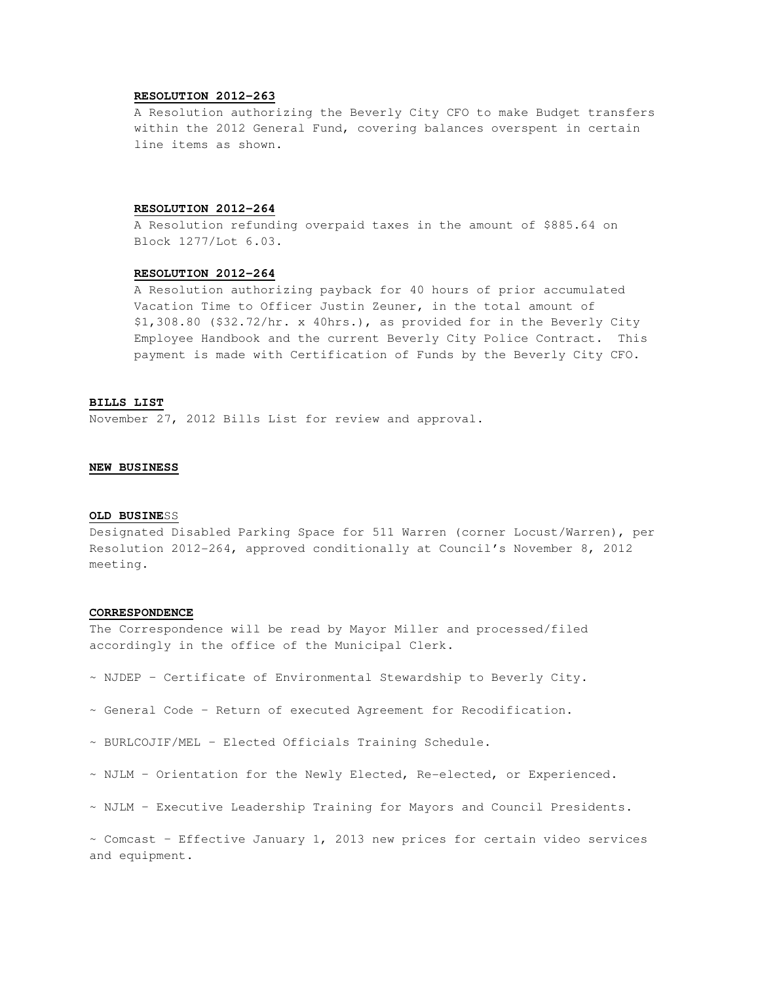# **RESOLUTION 2012-263**

A Resolution authorizing the Beverly City CFO to make Budget transfers within the 2012 General Fund, covering balances overspent in certain line items as shown.

### **RESOLUTION 2012-264**

 A Resolution refunding overpaid taxes in the amount of \$885.64 on Block 1277/Lot 6.03.

# **RESOLUTION 2012-264**

 A Resolution authorizing payback for 40 hours of prior accumulated Vacation Time to Officer Justin Zeuner, in the total amount of \$1,308.80 (\$32.72/hr. x 40hrs.), as provided for in the Beverly City Employee Handbook and the current Beverly City Police Contract. This payment is made with Certification of Funds by the Beverly City CFO.

# **BILLS LIST**

November 27, 2012 Bills List for review and approval.

#### **NEW BUSINESS**

# **OLD BUSINE**SS

Designated Disabled Parking Space for 511 Warren (corner Locust/Warren), per Resolution 2012-264, approved conditionally at Council's November 8, 2012 meeting.

### **CORRESPONDENCE**

The Correspondence will be read by Mayor Miller and processed/filed accordingly in the office of the Municipal Clerk.

- ~ NJDEP Certificate of Environmental Stewardship to Beverly City.
- ~ General Code Return of executed Agreement for Recodification.
- ~ BURLCOJIF/MEL Elected Officials Training Schedule.
- ~ NJLM Orientation for the Newly Elected, Re-elected, or Experienced.
- ~ NJLM Executive Leadership Training for Mayors and Council Presidents.

 $\sim$  Comcast - Effective January 1, 2013 new prices for certain video services and equipment.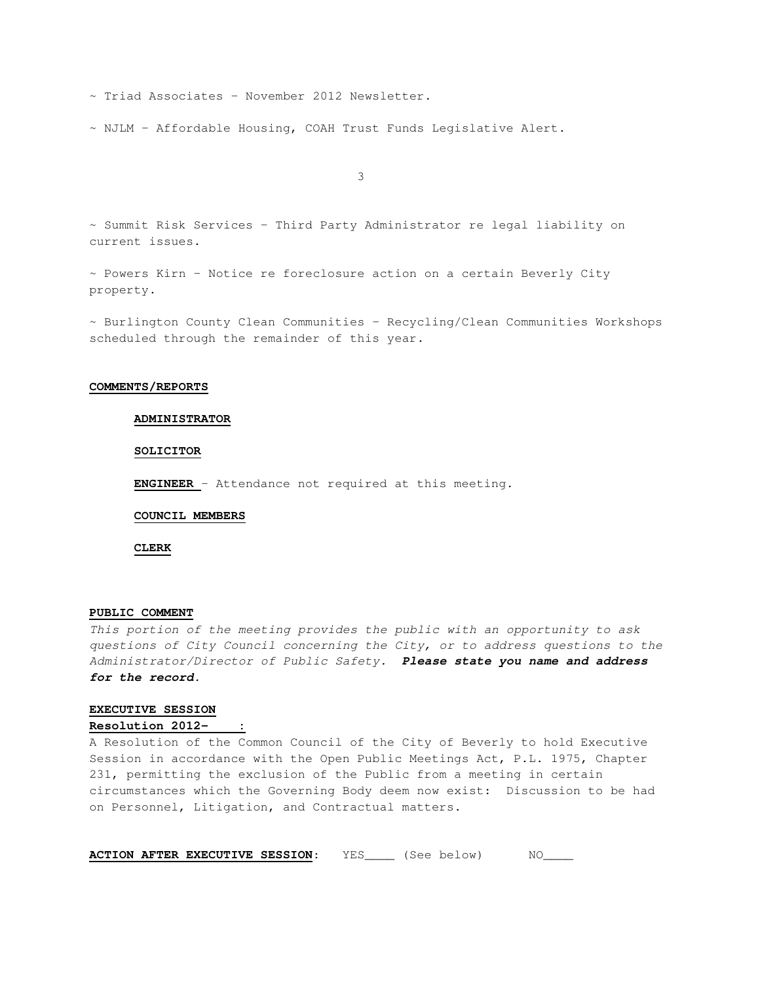~ Triad Associates – November 2012 Newsletter.

~ NJLM – Affordable Housing, COAH Trust Funds Legislative Alert.

3

~ Summit Risk Services – Third Party Administrator re legal liability on current issues.

~ Powers Kirn – Notice re foreclosure action on a certain Beverly City property.

~ Burlington County Clean Communities – Recycling/Clean Communities Workshops scheduled through the remainder of this year.

# **COMMENTS/REPORTS**

# **ADMINISTRATOR**

### **SOLICITOR**

**ENGINEER** – Attendance not required at this meeting.

#### **COUNCIL MEMBERS**

**CLERK**

# **PUBLIC COMMENT**

This portion of the meeting provides the public with an opportunity to ask questions of City Council concerning the City, or to address questions to the Administrator/Director of Public Safety. **Please state you name and address for the record.** 

### **EXECUTIVE SESSION**

Resolution 2012-

A Resolution of the Common Council of the City of Beverly to hold Executive Session in accordance with the Open Public Meetings Act, P.L. 1975, Chapter 231, permitting the exclusion of the Public from a meeting in certain circumstances which the Governing Body deem now exist: Discussion to be had on Personnel, Litigation, and Contractual matters.

**ACTION AFTER EXECUTIVE SESSION:** YES\_\_\_\_ (See below) NO\_\_\_\_